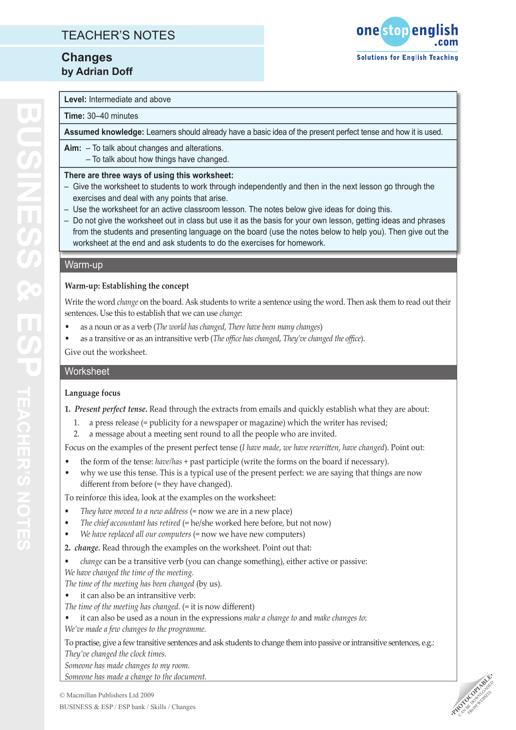## TEACHER'S NOTES

## **Changes by Adrian Doff**



#### **Level:** Intermediate and above

#### **Time:** 30–40 minutes

**Assumed knowledge:** Learners should already have a basic idea of the present perfect tense and how it is used.

**Aim:** – To talk about changes and alterations.

– To talk about how things have changed.

#### **There are three ways of using this worksheet:**

- Give the worksheet to students to work through independently and then in the next lesson go through the exercises and deal with any points that arise.
- Use the worksheet for an active classroom lesson. The notes below give ideas for doing this.
- Do not give the worksheet out in class but use it as the basis for your own lesson, getting ideas and phrases from the students and presenting language on the board (use the notes below to help you). Then give out the worksheet at the end and ask students to do the exercises for homework.

#### Warm-up

### **Warm-up: Establishing the concept**

Write the word *change* on the board. Ask students to write a sentence using the word. Then ask them to read out their sentences. Use this to establish that we can use *change*:

- • as a noun or as a verb (*The world has changed*, *There have been many changes*)
- as a transitive or as an intransitive verb (*The office has changed*, *They've changed the office*).

Give out the worksheet.

### **Worksheet**

### **Language focus**

**1.** *Present perfect tense.* Read through the extracts from emails and quickly establish what they are about:

- 1. a press release (= publicity for a newspaper or magazine) which the writer has revised;
- 2. a message about a meeting sent round to all the people who are invited.

Focus on the examples of the present perfect tense (*I have made*, *we have rewritten*, *have changed*). Point out:

- the form of the tense: *have/has* + past participle (write the forms on the board if necessary).
- why we use this tense. This is a typical use of the present perfect: we are saying that things are now different from before (= they have changed).

To reinforce this idea, look at the examples on the worksheet:

- *• They have moved to a new address* (= now we are in a new place)
- *The chief accountant has retired* (= he/she worked here before, but not now)
- *• We have replaced all our computers* (= now we have new computers)
- **2.** *change.* Read through the examples on the worksheet. Point out that:
- *• change* can be a transitive verb (you can change something), either active or passive:
- *We have changed the time of the meeting.*

*The time of the meeting has been changed* (by us).

- it can also be an intransitive verb:
- *The time of the meeting has changed.* (= it is now different)
- it can also be used as a noun in the expressions *make a change to* and *make changes to*: *We've made a few changes to the programme.*

To practise, give a few transitive sentences and ask students to change them into passive or intransitive sentences, e.g.:

*They've changed the clock times.*

*Someone has made changes to my room.*

*Someone has made a change to the document.* 

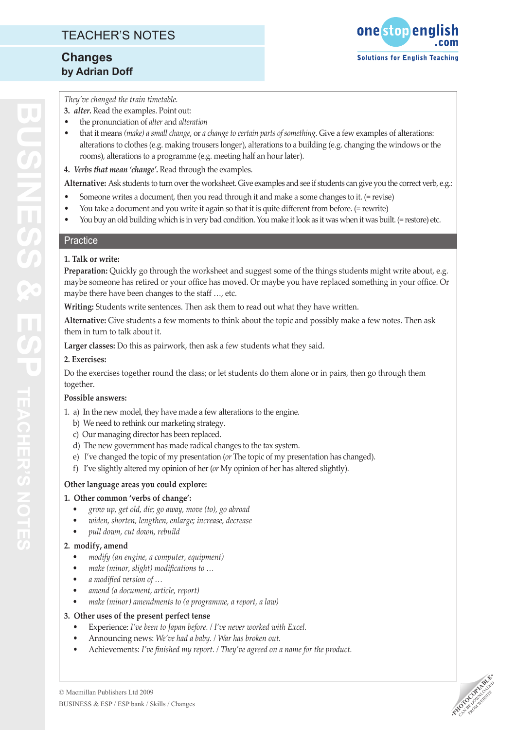

*They've changed the train timetable.*

- **3.** *alter.* Read the examples. Point out:
- • the pronunciation of *alter* and *alteration*
- that it means *(make) a small change*, or *a change to certain parts of something*. Give a few examples of alterations: alterations to clothes (e.g. making trousers longer), alterations to a building (e.g. changing the windows or the rooms), alterations to a programme (e.g. meeting half an hour later).
- **4.** *Verbs that mean 'change'.* Read through the examples.

**Alternative:** Ask students to turn over the worksheet. Give examples and see if students can give you the correct verb, e.g.:

- Someone writes a document, then you read through it and make a some changes to it. (= revise)
- You take a document and you write it again so that it is quite different from before. (= rewrite)
- • You buy an old building which is in very bad condition. You make it look as it was when it was built. (= restore) etc.

### **Practice**

### **1. Talk or write:**

**Preparation:** Quickly go through the worksheet and suggest some of the things students might write about, e.g. maybe someone has retired or your office has moved. Or maybe you have replaced something in your office. Or maybe there have been changes to the staff …, etc.

**Writing:** Students write sentences. Then ask them to read out what they have written.

**Alternative:** Give students a few moments to think about the topic and possibly make a few notes. Then ask them in turn to talk about it.

**Larger classes:** Do this as pairwork, then ask a few students what they said.

#### **2. Exercises:**

Do the exercises together round the class; or let students do them alone or in pairs, then go through them together.

### **Possible answers:**

- 1. a) In the new model, they have made a few alterations to the engine.
	- b) We need to rethink our marketing strategy.
	- c) Our managing director has been replaced.
	- d) The new government has made radical changes to the tax system.
	- e) I've changed the topic of my presentation (*or* The topic of my presentation has changed).
	- f) I've slightly altered my opinion of her (*or* My opinion of her has altered slightly).

### **Other language areas you could explore:**

### **1. Other common 'verbs of change':**

- *• grow up, get old, die; go away, move (to), go abroad*
- *• widen, shorten, lengthen, enlarge; increase, decrease*
- *• pull down, cut down, rebuild*

### **2. modify, amend**

- *• modify (an engine, a computer, equipment)*
- *• make (minor, slight) modifications to …*
- *• a modified version of …*
- *• amend (a document, article, report)*
- *• make (minor) amendments to (a programme, a report, a law)*

### **3. Other uses of the present perfect tense**

- Experience: *I've been to Japan before. / I've never worked with Excel.*
- Announcing news: We've had a baby. / War has broken out.
- Achievements: I've finished my report. / They've agreed on a name for the product.